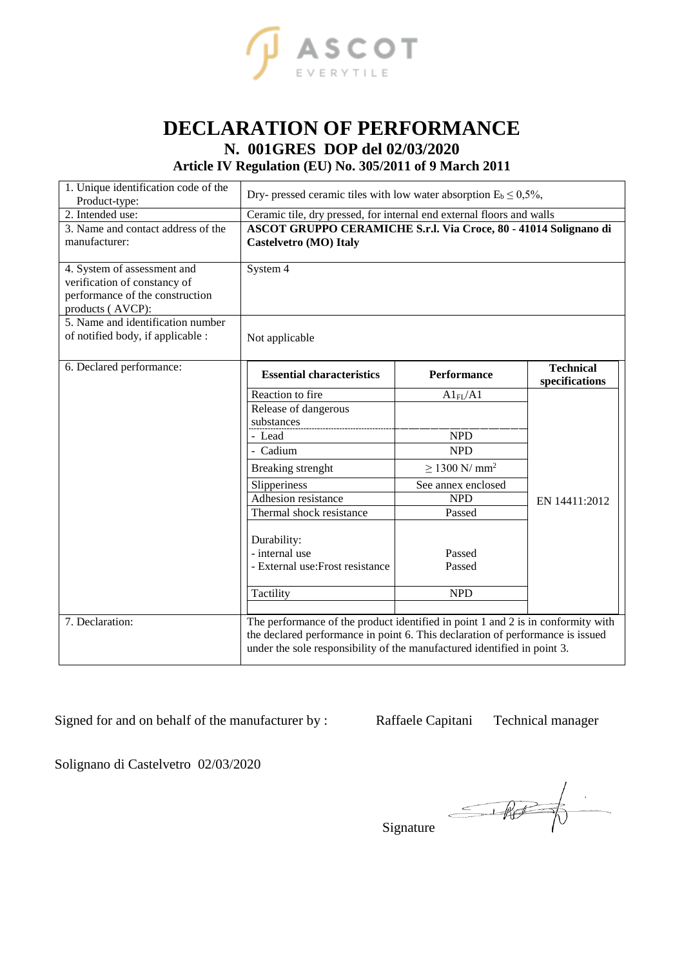

## **DECLARATION OF PERFORMANCE N. 001GRES DOP del 02/03/2020**

**Article IV Regulation (EU) No. 305/2011 of 9 March 2011**

| 1. Unique identification code of the<br>Product-type:                                                                                                                                        | Dry- pressed ceramic tiles with low water absorption $E_b \le 0.5\%$ ,                                                                                                                                                                                 |                                                                                                                                                            |                                    |  |
|----------------------------------------------------------------------------------------------------------------------------------------------------------------------------------------------|--------------------------------------------------------------------------------------------------------------------------------------------------------------------------------------------------------------------------------------------------------|------------------------------------------------------------------------------------------------------------------------------------------------------------|------------------------------------|--|
| 2. Intended use:<br>3. Name and contact address of the<br>manufacturer:                                                                                                                      | Ceramic tile, dry pressed, for internal end external floors and walls<br>ASCOT GRUPPO CERAMICHE S.r.l. Via Croce, 80 - 41014 Solignano di<br><b>Castelvetro (MO) Italy</b>                                                                             |                                                                                                                                                            |                                    |  |
| 4. System of assessment and<br>verification of constancy of<br>performance of the construction<br>products (AVCP):<br>5. Name and identification number<br>of notified body, if applicable : | System 4<br>Not applicable                                                                                                                                                                                                                             |                                                                                                                                                            |                                    |  |
| 6. Declared performance:                                                                                                                                                                     | <b>Essential characteristics</b>                                                                                                                                                                                                                       | Performance                                                                                                                                                | <b>Technical</b><br>specifications |  |
|                                                                                                                                                                                              | Reaction to fire<br>Release of dangerous<br>substances<br>- Lead<br>- Cadium<br>Breaking strenght<br>Slipperiness<br>Adhesion resistance<br>Thermal shock resistance<br>Durability:<br>- internal use<br>- External use: Frost resistance<br>Tactility | $Al_{FL}/Al$<br><b>NPD</b><br><b>NPD</b><br>$\geq$ 1300 N/ mm <sup>2</sup><br>See annex enclosed<br><b>NPD</b><br>Passed<br>Passed<br>Passed<br><b>NPD</b> | EN 14411:2012                      |  |
| 7. Declaration:                                                                                                                                                                              | The performance of the product identified in point 1 and 2 is in conformity with<br>the declared performance in point 6. This declaration of performance is issued<br>under the sole responsibility of the manufactured identified in point 3.         |                                                                                                                                                            |                                    |  |

Signed for and on behalf of the manufacturer by : Raffaele Capitani Technical manager

Solignano di Castelvetro 02/03/2020

 $\begin{picture}(120,10) \put(0,0){\line(1,0){10}} \put(15,0){\line(1,0){10}} \put(15,0){\line(1,0){10}} \put(15,0){\line(1,0){10}} \put(15,0){\line(1,0){10}} \put(15,0){\line(1,0){10}} \put(15,0){\line(1,0){10}} \put(15,0){\line(1,0){10}} \put(15,0){\line(1,0){10}} \put(15,0){\line(1,0){10}} \put(15,0){\line(1,0){10}} \put(15,0){\line($ 

Signature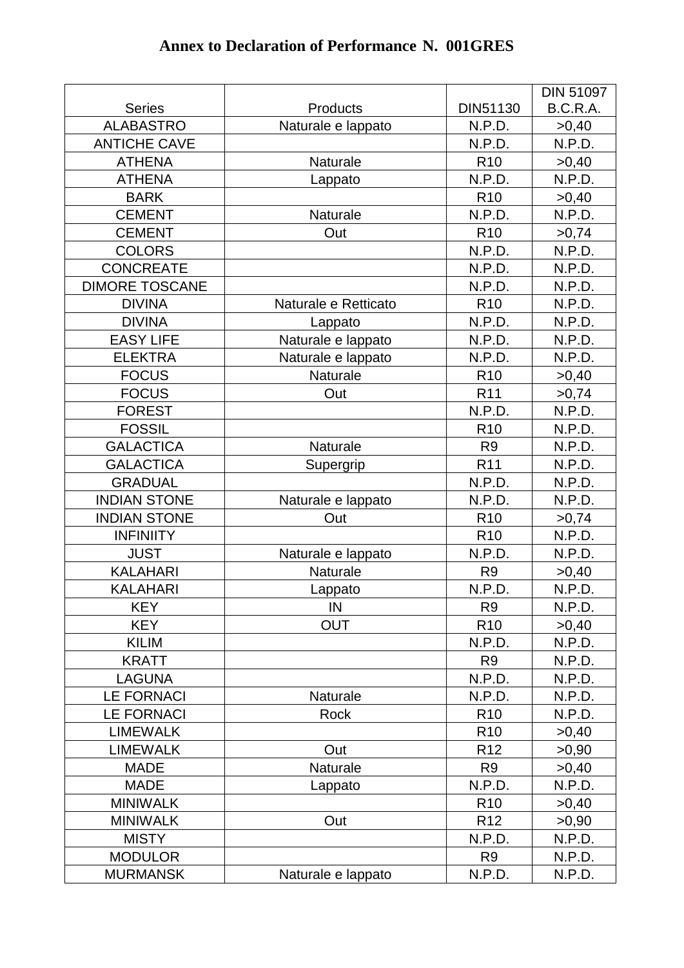|                       |                      |                 | <b>DIN 51097</b> |
|-----------------------|----------------------|-----------------|------------------|
| <b>Series</b>         | Products             | DIN51130        | B.C.R.A.         |
| <b>ALABASTRO</b>      | Naturale e lappato   | N.P.D.          | >0,40            |
| <b>ANTICHE CAVE</b>   |                      | N.P.D.          | N.P.D.           |
| <b>ATHENA</b>         | Naturale             | R <sub>10</sub> | >0,40            |
| <b>ATHENA</b>         | Lappato              | N.P.D.          | N.P.D.           |
| <b>BARK</b>           |                      | R <sub>10</sub> | >0,40            |
| <b>CEMENT</b>         | Naturale             | N.P.D.          | N.P.D.           |
| <b>CEMENT</b>         | Out                  | R <sub>10</sub> | >0,74            |
| <b>COLORS</b>         |                      | N.P.D.          | N.P.D.           |
| <b>CONCREATE</b>      |                      | N.P.D.          | N.P.D.           |
| <b>DIMORE TOSCANE</b> |                      | N.P.D.          | N.P.D.           |
| <b>DIVINA</b>         | Naturale e Retticato | R <sub>10</sub> | N.P.D.           |
| <b>DIVINA</b>         | Lappato              | N.P.D.          | N.P.D.           |
| <b>EASY LIFE</b>      | Naturale e lappato   | N.P.D.          | N.P.D.           |
| <b>ELEKTRA</b>        | Naturale e lappato   | N.P.D.          | N.P.D.           |
| <b>FOCUS</b>          | Naturale             | R <sub>10</sub> | >0,40            |
| <b>FOCUS</b>          | Out                  | R <sub>11</sub> | >0,74            |
| <b>FOREST</b>         |                      | N.P.D.          | N.P.D.           |
| <b>FOSSIL</b>         |                      | R <sub>10</sub> | N.P.D.           |
| <b>GALACTICA</b>      | Naturale             | R <sub>9</sub>  | N.P.D.           |
| <b>GALACTICA</b>      | Supergrip            | R <sub>11</sub> | N.P.D.           |
| <b>GRADUAL</b>        |                      | N.P.D.          | N.P.D.           |
| <b>INDIAN STONE</b>   | Naturale e lappato   | N.P.D.          | N.P.D.           |
| <b>INDIAN STONE</b>   | Out                  | R <sub>10</sub> | >0,74            |
| <b>INFINIITY</b>      |                      | R <sub>10</sub> | N.P.D.           |
| <b>JUST</b>           | Naturale e lappato   | N.P.D.          | N.P.D.           |
| <b>KALAHARI</b>       | Naturale             | R <sub>9</sub>  | >0,40            |
| <b>KALAHARI</b>       | Lappato              | N.P.D.          | N.P.D.           |
| <b>KEY</b>            | IN                   | R <sub>9</sub>  | N.P.D.           |
| <b>KEY</b>            | <b>OUT</b>           | R <sub>10</sub> | >0,40            |
| <b>KILIM</b>          |                      | N.P.D.          | N.P.D.           |
| <b>KRATT</b>          |                      | R <sub>9</sub>  | N.P.D.           |
| <b>LAGUNA</b>         |                      | N.P.D.          | N.P.D.           |
| <b>LE FORNACI</b>     | Naturale             | N.P.D.          | N.P.D.           |
| <b>LE FORNACI</b>     | Rock                 | R <sub>10</sub> | N.P.D.           |
| <b>LIMEWALK</b>       |                      | R <sub>10</sub> | >0,40            |
| <b>LIMEWALK</b>       | Out                  | R <sub>12</sub> | >0,90            |
| <b>MADE</b>           | Naturale             | R <sub>9</sub>  | >0,40            |
| <b>MADE</b>           | Lappato              | N.P.D.          | N.P.D.           |
| <b>MINIWALK</b>       |                      | R <sub>10</sub> | >0,40            |
| <b>MINIWALK</b>       | Out                  | R <sub>12</sub> | >0,90            |
| <b>MISTY</b>          |                      | N.P.D.          | N.P.D.           |
| <b>MODULOR</b>        |                      | R <sub>9</sub>  | N.P.D.           |
| <b>MURMANSK</b>       | Naturale e lappato   | N.P.D.          | N.P.D.           |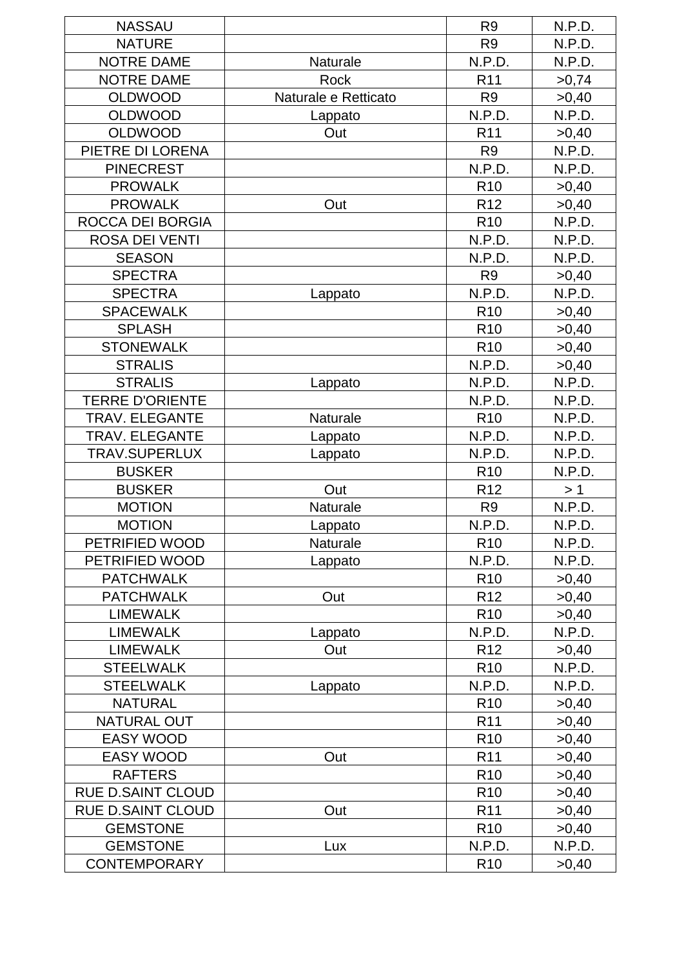| <b>NASSAU</b>                       |                      | R <sub>9</sub>  | N.P.D. |
|-------------------------------------|----------------------|-----------------|--------|
| <b>NATURE</b>                       |                      | R <sub>9</sub>  | N.P.D. |
| <b>NOTRE DAME</b>                   | <b>Naturale</b>      | N.P.D.          | N.P.D. |
| <b>NOTRE DAME</b>                   | Rock                 | R <sub>11</sub> | >0,74  |
| <b>OLDWOOD</b>                      | Naturale e Retticato | R <sub>9</sub>  | >0,40  |
| <b>OLDWOOD</b>                      | Lappato              | N.P.D.          | N.P.D. |
| <b>OLDWOOD</b>                      | Out                  | R <sub>11</sub> | >0,40  |
| PIETRE DI LORENA                    |                      | R <sub>9</sub>  | N.P.D. |
| <b>PINECREST</b>                    |                      | N.P.D.          | N.P.D. |
| <b>PROWALK</b>                      |                      | R <sub>10</sub> | >0,40  |
| <b>PROWALK</b>                      | Out                  | R <sub>12</sub> | >0,40  |
| ROCCA DEI BORGIA                    |                      | R <sub>10</sub> | N.P.D. |
| <b>ROSA DEI VENTI</b>               |                      | N.P.D.          | N.P.D. |
| <b>SEASON</b>                       |                      | N.P.D.          | N.P.D. |
| <b>SPECTRA</b>                      |                      | R <sub>9</sub>  | >0,40  |
| <b>SPECTRA</b>                      | Lappato              | N.P.D.          | N.P.D. |
| <b>SPACEWALK</b>                    |                      | R <sub>10</sub> | >0,40  |
| <b>SPLASH</b>                       |                      | R <sub>10</sub> | >0,40  |
| <b>STONEWALK</b>                    |                      | R <sub>10</sub> | >0,40  |
| <b>STRALIS</b>                      |                      | N.P.D.          | >0,40  |
| <b>STRALIS</b>                      | Lappato              | N.P.D.          | N.P.D. |
| <b>TERRE D'ORIENTE</b>              |                      | N.P.D.          | N.P.D. |
| <b>TRAV. ELEGANTE</b>               | Naturale             | R <sub>10</sub> | N.P.D. |
| <b>TRAV. ELEGANTE</b>               | Lappato              | N.P.D.          | N.P.D. |
| TRAV.SUPERLUX                       | Lappato              | N.P.D.          | N.P.D. |
| <b>BUSKER</b>                       |                      | R <sub>10</sub> | N.P.D. |
| <b>BUSKER</b>                       | Out                  | R <sub>12</sub> | > 1    |
| <b>MOTION</b>                       | <b>Naturale</b>      | R <sub>9</sub>  | N.P.D. |
| <b>MOTION</b>                       | Lappato              | N.P.D.          | N.P.D. |
| PETRIFIED WOOD                      | Naturale             | R <sub>10</sub> | N.P.D. |
| PETRIFIED WOOD                      |                      | N.P.D.          | N.P.D. |
| <b>PATCHWALK</b>                    | Lappato              | R <sub>10</sub> |        |
|                                     |                      |                 | >0,40  |
| <b>PATCHWALK</b><br><b>LIMEWALK</b> | Out                  | R <sub>12</sub> | >0,40  |
|                                     |                      | R <sub>10</sub> | >0,40  |
| <b>LIMEWALK</b>                     | Lappato              | N.P.D.          | N.P.D. |
| <b>LIMEWALK</b>                     | Out                  | R <sub>12</sub> | >0,40  |
| <b>STEELWALK</b>                    |                      | R <sub>10</sub> | N.P.D. |
| <b>STEELWALK</b>                    | Lappato              | N.P.D.          | N.P.D. |
| <b>NATURAL</b>                      |                      | R <sub>10</sub> | >0,40  |
| <b>NATURAL OUT</b>                  |                      | R <sub>11</sub> | >0,40  |
| <b>EASY WOOD</b>                    |                      | R <sub>10</sub> | >0,40  |
| <b>EASY WOOD</b>                    | Out                  | R <sub>11</sub> | >0,40  |
| <b>RAFTERS</b>                      |                      | R <sub>10</sub> | >0,40  |
| <b>RUE D.SAINT CLOUD</b>            |                      | R <sub>10</sub> | >0,40  |
| <b>RUE D.SAINT CLOUD</b>            | Out                  | R <sub>11</sub> | >0,40  |
| <b>GEMSTONE</b>                     |                      | R <sub>10</sub> | >0,40  |
| <b>GEMSTONE</b>                     | Lux                  | N.P.D.          | N.P.D. |
| <b>CONTEMPORARY</b>                 |                      | R <sub>10</sub> | >0,40  |